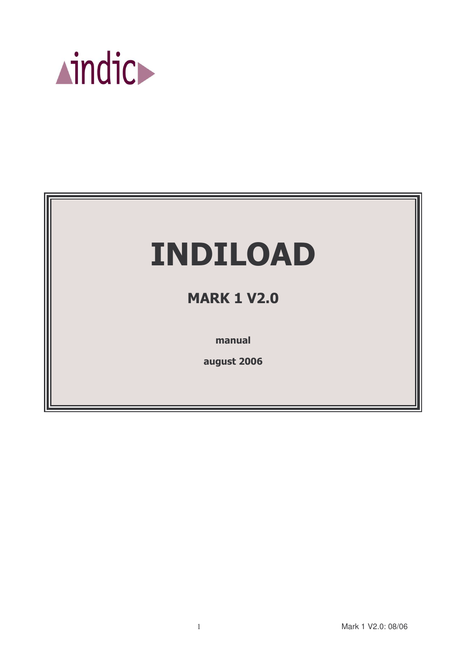

# **INDILOAD**

# **MARK 1 V2.0**

manual

august 2006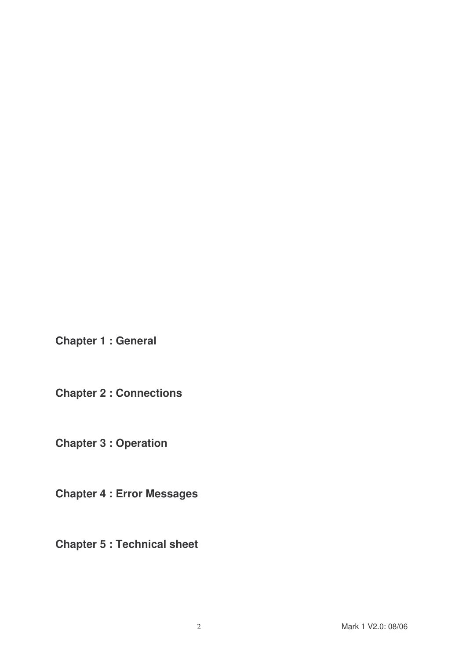**Chapter 1 : General**

**Chapter 2 : Connections**

**Chapter 3 : Operation**

**Chapter 4 : Error Messages**

**Chapter 5 : Technical sheet**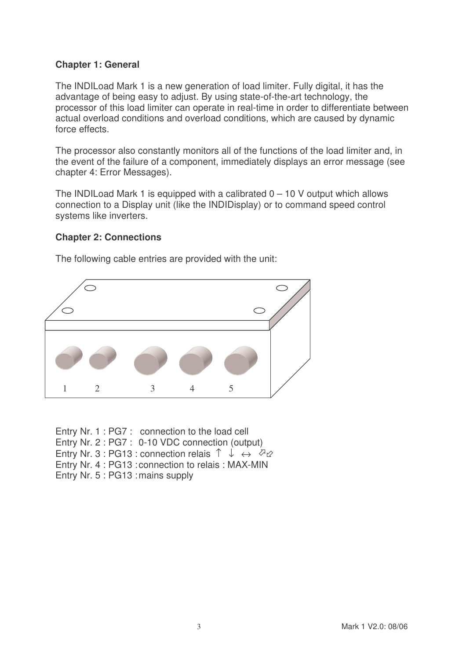#### **Chapter 1: General**

The INDILoad Mark 1 is a new generation of load limiter. Fully digital, it has the advantage of being easy to adjust. By using state-of-the-art technology, the processor of this load limiter can operate in real-time in order to differentiate between actual overload conditions and overload conditions, which are caused by dynamic force effects.

The processor also constantly monitors all of the functions of the load limiter and, in the event of the failure of a component, immediately displays an error message (see chapter 4: Error Messages).

The INDILoad Mark 1 is equipped with a calibrated  $0 - 10$  V output which allows connection to a Display unit (like the INDIDisplay) or to command speed control systems like inverters.

#### **Chapter 2: Connections**



The following cable entries are provided with the unit:

Entry Nr. 1 : PG7 : connection to the load cell Entry Nr. 2 : PG7 : 0-10 VDC connection (output) Entry Nr. 3 : PG13 : connection relais ↑ ↓ → 22 Entry Nr. 4 : PG13 : connection to relais : MAX-MIN Entry Nr. 5 : PG13 :mains supply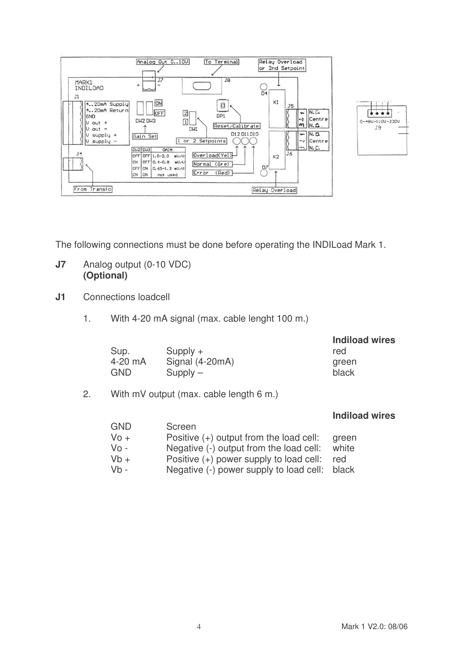



The following connections must be done before operating the INDILoad Mark 1.

## **J7** Analog output (0-10 VDC) **(Optional)**

- **J1** Connections loadcell
	- 1. With 4-20 mA signal (max. cable lenght 100 m.)

|                 | <b>Indiload wires</b> |
|-----------------|-----------------------|
| $Supply +$      | red                   |
| Signal (4-20mA) | green                 |
| $Supply -$      | black                 |
|                 |                       |

2. With mV output (max. cable length 6 m.)

|      |                                         | <b>Indiload wires</b> |
|------|-----------------------------------------|-----------------------|
| GND  | Screen                                  |                       |
| Vo + | Positive (+) output from the load cell: | green                 |
| Vo - | Negative (-) output from the load cell: | white                 |
| Vb + | Positive (+) power supply to load cell: | red                   |
| Vb - | Negative (-) power supply to load cell: | black                 |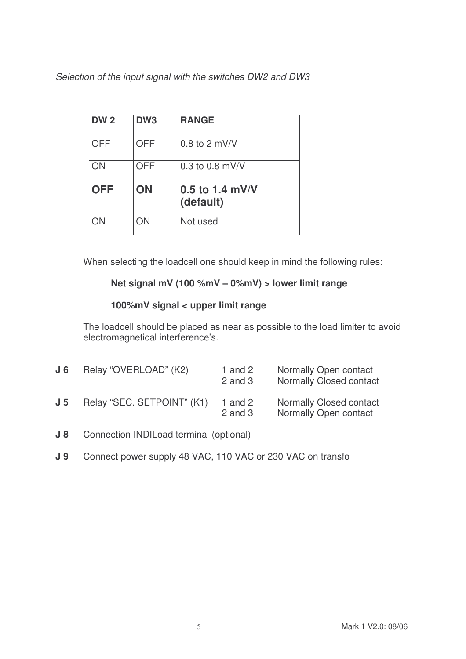*Selection of the input signal with the switches DW2 and DW3*

| <b>DW2</b> | DW <sub>3</sub> | <b>RANGE</b>                   |
|------------|-----------------|--------------------------------|
| <b>OFF</b> | <b>OFF</b>      | $0.8$ to 2 mV/V                |
| ON         | <b>OFF</b>      | 0.3 to 0.8 $mV/V$              |
| <b>OFF</b> | ON              | $0.5$ to 1.4 mV/V<br>(default) |
| ΟN         | ON              | Not used                       |

When selecting the loadcell one should keep in mind the following rules:

# **Net signal mV (100 %mV – 0%mV) > lower limit range**

# **100%mV signal < upper limit range**

The loadcell should be placed as near as possible to the load limiter to avoid electromagnetical interference's.

| J 6            | Relay "OVERLOAD" (K2)      | 1 and $2$<br>$2$ and $3$ | Normally Open contact<br><b>Normally Closed contact</b> |
|----------------|----------------------------|--------------------------|---------------------------------------------------------|
| J <sub>5</sub> | Relay "SEC. SETPOINT" (K1) | 1 and $2$<br>$2$ and $3$ | <b>Normally Closed contact</b><br>Normally Open contact |

- **J 8** Connection INDILoad terminal (optional)
- **J 9** Connect power supply 48 VAC, 110 VAC or 230 VAC on transfo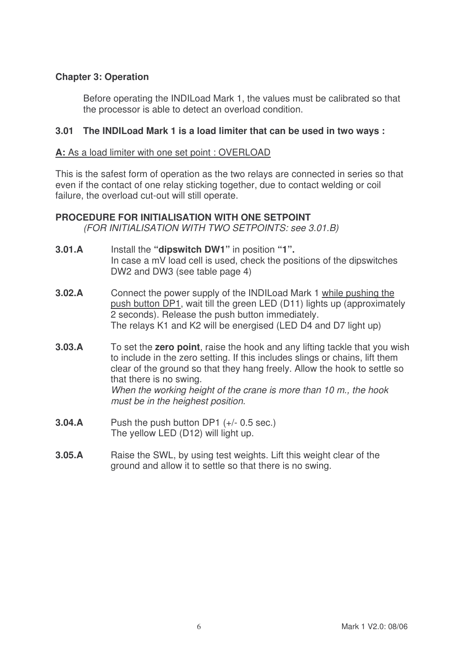# **Chapter 3: Operation**

Before operating the INDILoad Mark 1, the values must be calibrated so that the processor is able to detect an overload condition.

#### **3.01 The INDILoad Mark 1 is a load limiter that can be used in two ways :**

#### **A:** As a load limiter with one set point : OVERLOAD

This is the safest form of operation as the two relays are connected in series so that even if the contact of one relay sticking together, due to contact welding or coil failure, the overload cut-out will still operate.

# **PROCEDURE FOR INITIALISATION WITH ONE SETPOINT**

*(FOR INITIALISATION WITH TWO SETPOINTS: see 3.01.B)*

- **3.01.A** Install the **"dipswitch DW1"** in position **"1".** In case a mV load cell is used, check the positions of the dipswitches DW2 and DW3 (see table page 4)
- **3.02.A** Connect the power supply of the INDILoad Mark 1 while pushing the push button DP1, wait till the green LED (D11) lights up (approximately 2 seconds). Release the push button immediately. The relays K1 and K2 will be energised (LED D4 and D7 light up)
- **3.03.A** To set the **zero point**, raise the hook and any lifting tackle that you wish to include in the zero setting. If this includes slings or chains, lift them clear of the ground so that they hang freely. Allow the hook to settle so that there is no swing. *When the working height of the crane is more than 10 m., the hook must be in the heighest position.*
- **3.04.A** Push the push button DP1 (+/- 0.5 sec.) The yellow LED (D12) will light up.
- **3.05.A** Raise the SWL, by using test weights. Lift this weight clear of the ground and allow it to settle so that there is no swing.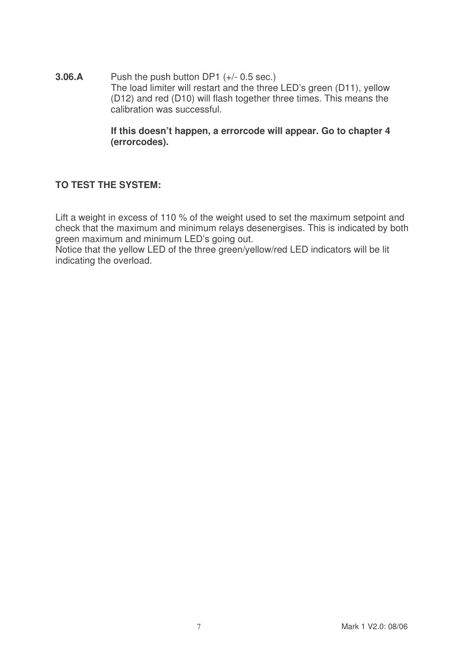**3.06.A** Push the push button DP1 (+/- 0.5 sec.) The load limiter will restart and the three LED's green (D11), yellow (D12) and red (D10) will flash together three times. This means the calibration was successful.

#### **If this doesn't happen, a errorcode will appear. Go to chapter 4 (errorcodes).**

# **TO TEST THE SYSTEM:**

Lift a weight in excess of 110 % of the weight used to set the maximum setpoint and check that the maximum and minimum relays desenergises. This is indicated by both green maximum and minimum LED's going out.

Notice that the yellow LED of the three green/yellow/red LED indicators will be lit indicating the overload.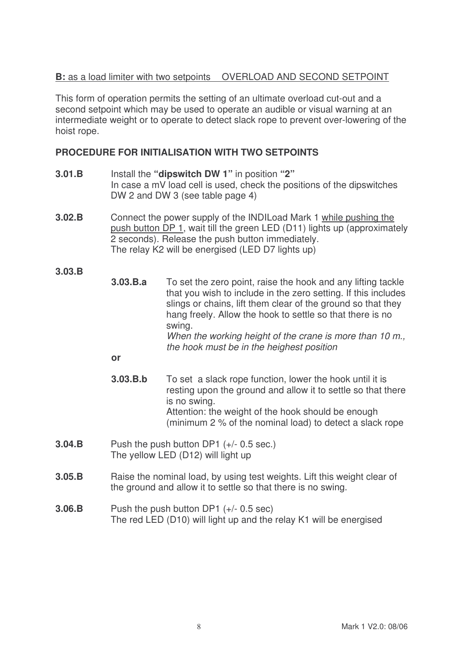# **B:** as a load limiter with two setpoints OVERLOAD AND SECOND SETPOINT

This form of operation permits the setting of an ultimate overload cut-out and a second setpoint which may be used to operate an audible or visual warning at an intermediate weight or to operate to detect slack rope to prevent over-lowering of the hoist rope.

## **PROCEDURE FOR INITIALISATION WITH TWO SETPOINTS**

- **3.01.B** Install the **"dipswitch DW 1"** in position **"2"** In case a mV load cell is used, check the positions of the dipswitches DW 2 and DW 3 (see table page 4)
- **3.02.B** Connect the power supply of the INDILoad Mark 1 while pushing the push button DP 1, wait till the green LED (D11) lights up (approximately 2 seconds). Release the push button immediately. The relay K2 will be energised (LED D7 lights up)

**3.03.B**

**3.03.B.a** To set the zero point, raise the hook and any lifting tackle that you wish to include in the zero setting. If this includes slings or chains, lift them clear of the ground so that they hang freely. Allow the hook to settle so that there is no swing. *When the working height of the crane is more than 10 m., the hook must be in the heighest position*

**or**

- **3.03.B.b** To set a slack rope function, lower the hook until it is resting upon the ground and allow it to settle so that there is no swing. Attention: the weight of the hook should be enough (minimum 2 % of the nominal load) to detect a slack rope
- **3.04.B** Push the push button DP1 (+/- 0.5 sec.) The yellow LED (D12) will light up
- **3.05.B** Raise the nominal load, by using test weights. Lift this weight clear of the ground and allow it to settle so that there is no swing.
- **3.06.B** Push the push button DP1 (+/- 0.5 sec) The red LED (D10) will light up and the relay K1 will be energised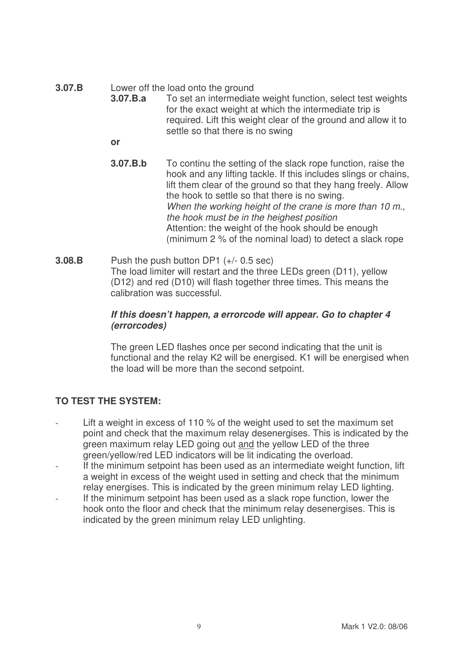**3.07.B** Lower off the load onto the ground

- **3.07.B.a** To set an intermediate weight function, select test weights for the exact weight at which the intermediate trip is required. Lift this weight clear of the ground and allow it to settle so that there is no swing
	- **or**
- **3.07.B.b** To continu the setting of the slack rope function, raise the hook and any lifting tackle. If this includes slings or chains, lift them clear of the ground so that they hang freely. Allow the hook to settle so that there is no swing. *When the working height of the crane is more than 10 m., the hook must be in the heighest position* Attention: the weight of the hook should be enough (minimum 2 % of the nominal load) to detect a slack rope
- **3.08.B** Push the push button DP1 (+/- 0.5 sec) The load limiter will restart and the three LEDs green (D11), yellow (D12) and red (D10) will flash together three times. This means the calibration was successful.

## *If this doesn't happen, a errorcode will appear. Go to chapter 4 (errorcodes)*

The green LED flashes once per second indicating that the unit is functional and the relay K2 will be energised. K1 will be energised when the load will be more than the second setpoint.

# **TO TEST THE SYSTEM:**

- Lift a weight in excess of 110 % of the weight used to set the maximum set point and check that the maximum relay desenergises. This is indicated by the green maximum relay LED going out and the yellow LED of the three green/yellow/red LED indicators will be lit indicating the overload.
- If the minimum setpoint has been used as an intermediate weight function, lift a weight in excess of the weight used in setting and check that the minimum relay energises. This is indicated by the green minimum relay LED lighting.
- If the minimum setpoint has been used as a slack rope function, lower the hook onto the floor and check that the minimum relay desenergises. This is indicated by the green minimum relay LED unlighting.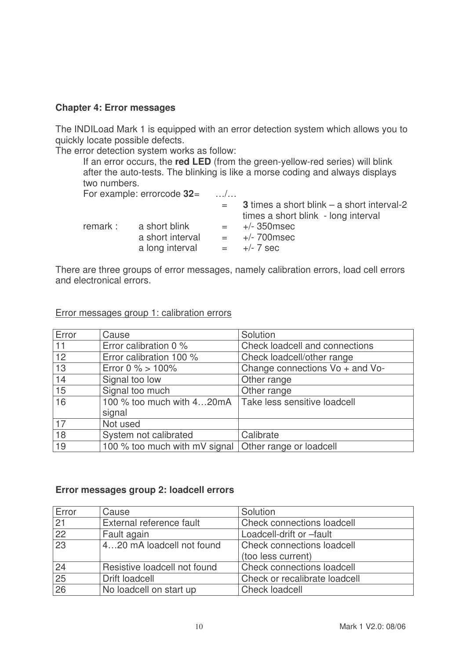#### **Chapter 4: Error messages**

The INDILoad Mark 1 is equipped with an error detection system which allows you to quickly locate possible defects.

The error detection system works as follow:

If an error occurs, the **red LED** (from the green-yellow-red series) will blink after the auto-tests. The blinking is like a morse coding and always displays two numbers.

|          | For example: errorcode $32=$ | $\ldots$ / $\ldots$ |                                                                                          |
|----------|------------------------------|---------------------|------------------------------------------------------------------------------------------|
|          |                              | $=$                 | <b>3</b> times a short blink – a short interval-2<br>times a short blink - long interval |
| remark : | a short blink                | $=$                 | $+/- 350$ msec                                                                           |
|          | a short interval             | $=$                 | $+/- 700$ msec                                                                           |
|          | a long interval              | $=$ $-$             | $+/- 7$ sec                                                                              |

There are three groups of error messages, namely calibration errors, load cell errors and electronical errors.

| Error | Cause                                                 | Solution                        |
|-------|-------------------------------------------------------|---------------------------------|
| 11    | Error calibration 0 %                                 | Check loadcell and connections  |
| 12    | Error calibration 100 %                               | Check loadcell/other range      |
| 13    | Error 0 % $> 100%$                                    | Change connections Vo + and Vo- |
| 14    | Signal too low                                        | Other range                     |
| 15    | Signal too much                                       | Other range                     |
| 16    | 100 % too much with 420mA                             | Take less sensitive loadcell    |
|       | signal                                                |                                 |
| 17    | Not used                                              |                                 |
| 18    | System not calibrated                                 | Calibrate                       |
| 19    | 100 % too much with mV signal Other range or loadcell |                                 |

#### Error messages group 1: calibration errors

#### **Error messages group 2: loadcell errors**

| Error           | Cause                        | Solution                          |
|-----------------|------------------------------|-----------------------------------|
| 21              | External reference fault     | Check connections loadcell        |
| 22              | Fault again                  | Loadcell-drift or -fault          |
| 23              | 420 mA loadcell not found    | Check connections loadcell        |
|                 |                              | (too less current)                |
| 24              | Resistive loadcell not found | <b>Check connections loadcell</b> |
| $\overline{25}$ | Drift loadcell               | Check or recalibrate loadcell     |
| 26              | No loadcell on start up      | <b>Check loadcell</b>             |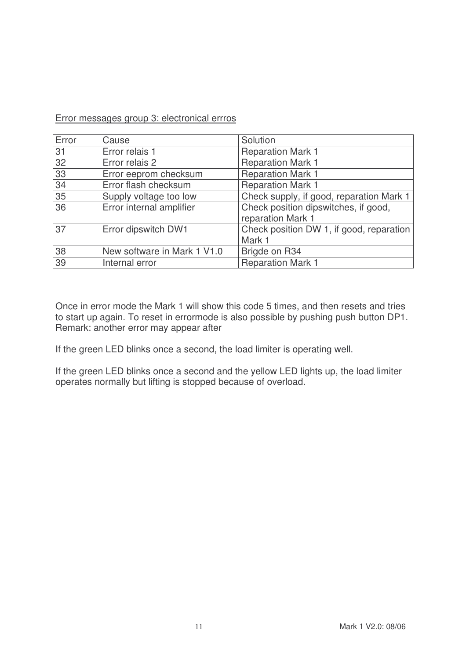#### Error messages group 3: electronical errros

| Error | Cause                       | Solution                                 |
|-------|-----------------------------|------------------------------------------|
| 31    | Error relais 1              | <b>Reparation Mark 1</b>                 |
| 32    | Error relais 2              | <b>Reparation Mark 1</b>                 |
| 33    | Error eeprom checksum       | <b>Reparation Mark 1</b>                 |
| 34    | Error flash checksum        | <b>Reparation Mark 1</b>                 |
| 35    | Supply voltage too low      | Check supply, if good, reparation Mark 1 |
| 36    | Error internal amplifier    | Check position dipswitches, if good,     |
|       |                             | reparation Mark 1                        |
| 37    | Error dipswitch DW1         | Check position DW 1, if good, reparation |
|       |                             | Mark 1                                   |
| 38    | New software in Mark 1 V1.0 | Brigde on R34                            |
| 39    | Internal error              | <b>Reparation Mark 1</b>                 |

Once in error mode the Mark 1 will show this code 5 times, and then resets and tries to start up again. To reset in errormode is also possible by pushing push button DP1. Remark: another error may appear after

If the green LED blinks once a second, the load limiter is operating well.

If the green LED blinks once a second and the yellow LED lights up, the load limiter operates normally but lifting is stopped because of overload.